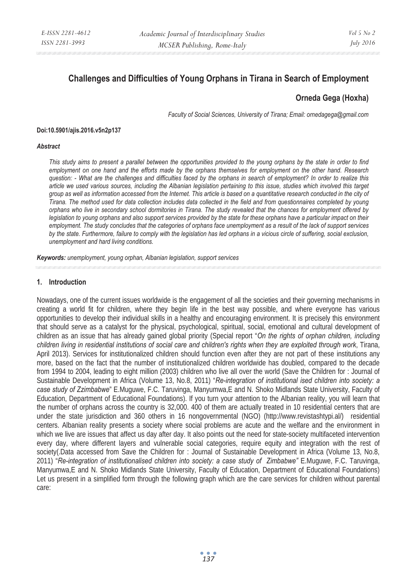# **Challenges and Difficulties of Young Orphans in Tirana in Search of Employment**

## **Orneda Gega (Hoxha)**

*Faculty of Social Sciences, University of Tirana; Email: ornedagega@gmail.com* 

#### **Doi:10.5901/ajis.2016.v5n2p137**

#### *Abstract*

*This study aims to present a parallel between the opportunities provided to the young orphans by the state in order to find employment on one hand and the efforts made by the orphans themselves for employment on the other hand. Research question: - What are the challenges and difficulties faced by the orphans in search of employment? In order to realize this article we used various sources, including the Albanian legislation pertaining to this issue, studies which involved this target group as well as information accessed from the Internet. This article is based on a quantitative research conducted in the city of Tirana. The method used for data collection includes data collected in the field and from questionnaires completed by young orphans who live in secondary school dormitories in Tirana. The study revealed that the chances for employment offered by*  legislation to young orphans and also support services provided by the state for these orphans have a particular impact on their *employment. The study concludes that the categories of orphans face unemployment as a result of the lack of support services by the state. Furthermore, failure to comply with the legislation has led orphans in a vicious circle of suffering, social exclusion, unemployment and hard living conditions.* 

*Keywords: unemployment, young orphan, Albanian legislation, support services* 

#### **1. Introduction**

Nowadays, one of the current issues worldwide is the engagement of all the societies and their governing mechanisms in creating a world fit for children, where they begin life in the best way possible, and where everyone has various opportunities to develop their individual skills in a healthy and encouraging environment. It is precisely this environment that should serve as a catalyst for the physical, psychological, spiritual, social, emotional and cultural development of children as an issue that has already gained global priority (Special report "*On the rights of orphan children, including children living in residential institutions of social care and children's rights when they are exploited through work*, Tirana, April 2013). Services for institutionalized children should function even after they are not part of these institutions any more, based on the fact that the number of institutionalized children worldwide has doubled, compared to the decade from 1994 to 2004, leading to eight million (2003) children who live all over the world (Save the Children for : Journal of Sustainable Development in Africa (Volume 13, No.8, 2011) "*Re-integration of institutional ised children into society: a case study of Zzimbabwe*" E.Muguwe, F.C. Taruvinga, Manyumwa,E and N. Shoko Midlands State University, Faculty of Education, Department of Educational Foundations). If you turn your attention to the Albanian reality, you will learn that the number of orphans across the country is 32,000. 400 of them are actually treated in 10 residential centers that are under the state jurisdiction and 360 others in 16 nongovernmental (NGO) (http://www.revistashtypi.al/) residential centers. Albanian reality presents a society where social problems are acute and the welfare and the environment in which we live are issues that affect us day after day. It also points out the need for state-society multifaceted intervention every day, where different layers and vulnerable social categories, require equity and integration with the rest of society(.Data accessed from Save the Children for : Journal of Sustainable Development in Africa (Volume 13, No.8, 2011) "*Re-integration of institutionalised children into society: a case study of Zimbabwe"* E.Muguwe, F.C. Taruvinga, Manyumwa,E and N. Shoko Midlands State University, Faculty of Education, Department of Educational Foundations) Let us present in a simplified form through the following graph which are the care services for children without parental care: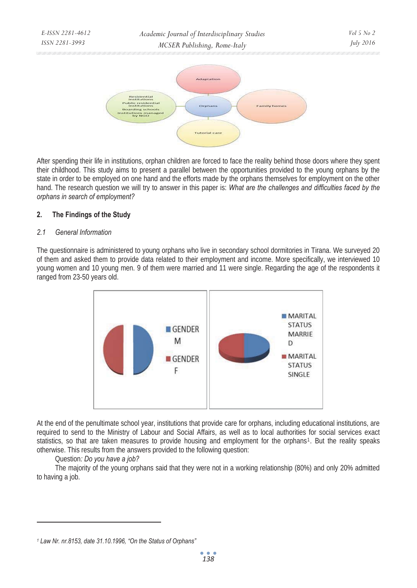

After spending their life in institutions, orphan children are forced to face the reality behind those doors where they spent their childhood. This study aims to present a parallel between the opportunities provided to the young orphans by the state in order to be employed on one hand and the efforts made by the orphans themselves for employment on the other hand. The research question we will try to answer in this paper is: *What are the challenges and difficulties faced by the orphans in search of employment?* 

### **2. The Findings of the Study**

### *2.1 General Information*

The questionnaire is administered to young orphans who live in secondary school dormitories in Tirana. We surveyed 20 of them and asked them to provide data related to their employment and income. More specifically, we interviewed 10 young women and 10 young men. 9 of them were married and 11 were single. Regarding the age of the respondents it ranged from 23-50 years old.



At the end of the penultimate school year, institutions that provide care for orphans, including educational institutions, are required to send to the Ministry of Labour and Social Affairs, as well as to local authorities for social services exact statistics, so that are taken measures to provide housing and employment for the orphans<sup>1</sup>. But the reality speaks otherwise. This results from the answers provided to the following question:

### Question*: Do you have a job?*

 $\overline{a}$ 

The majority of the young orphans said that they were not in a working relationship (80%) and only 20% admitted to having a job.

*<sup>1</sup> Law Nr. nr.8153, date 31.10.1996, "On the Status of Orphans"*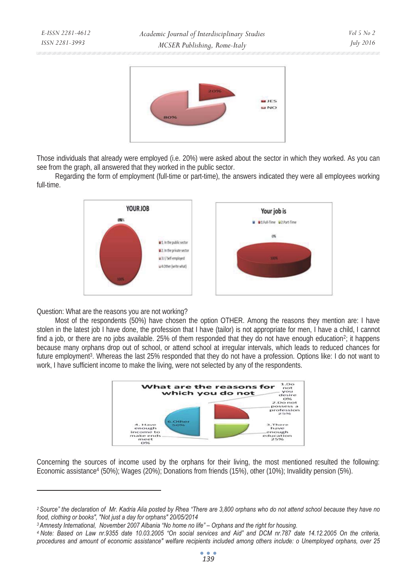

Those individuals that already were employed (i.e. 20%) were asked about the sector in which they worked. As you can see from the graph, all answered that they worked in the public sector.

Regarding the form of employment (full-time or part-time), the answers indicated they were all employees working full-time.



Question: What are the reasons you are not working?

 $\overline{a}$ 

*E-ISSN 2281-4612 ISSN 2281-3993* 

Most of the respondents (50%) have chosen the option OTHER. Among the reasons they mention are: I have stolen in the latest job I have done, the profession that I have (tailor) is not appropriate for men, I have a child, I cannot find a job, or there are no jobs available. 25% of them responded that they do not have enough education<sup>2</sup>; it happens because many orphans drop out of school, or attend school at irregular intervals, which leads to reduced chances for future employment<sup>3</sup>. Whereas the last 25% responded that they do not have a profession. Options like: I do not want to work, I have sufficient income to make the living, were not selected by any of the respondents.



Concerning the sources of income used by the orphans for their living, the most mentioned resulted the following: Economic assistance4 (50%); Wages (20%); Donations from friends (15%), other (10%); Invalidity pension (5%).

*<sup>2</sup> Source" the declaration of Mr. Kadria Alia posted by Rhea "There are 3,800 orphans who do not attend school because they have no*  food, clothing or books", "Not just a day for orphans" 20/05/2014<br><sup>3</sup> Amnesty International, November 2007 Albania "No home no life" – Orphans and the right for housing.<br>4 Note: Based on Law nr.9355 date 10.03.2005 "On soc

*procedures and amount of economic assistance" welfare recipients included among others include: o Unemployed orphans, over 25*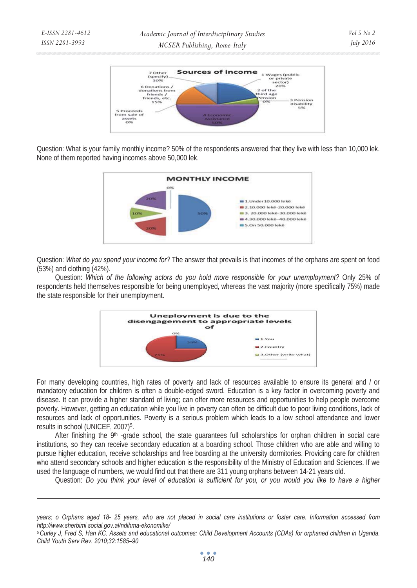

Question: What is your family monthly income? 50% of the respondents answered that they live with less than 10,000 lek. None of them reported having incomes above 50,000 lek.



Question: *What do you spend your income for?* The answer that prevails is that incomes of the orphans are spent on food (53%) and clothing (42%).

Question: *Which of the following actors do you hold more responsible for your unemployment?* Only 25% of respondents held themselves responsible for being unemployed, whereas the vast majority (more specifically 75%) made the state responsible for their unemployment.



For many developing countries, high rates of poverty and lack of resources available to ensure its general and / or mandatory education for children is often a double-edged sword. Education is a key factor in overcoming poverty and disease. It can provide a higher standard of living; can offer more resources and opportunities to help people overcome poverty. However, getting an education while you live in poverty can often be difficult due to poor living conditions, lack of resources and lack of opportunities. Poverty is a serious problem which leads to a low school attendance and lower results in school (UNICEF, 2007)5.

After finishing the 9<sup>th</sup> -grade school, the state guarantees full scholarships for orphan children in social care institutions, so they can receive secondary education at a boarding school. Those children who are able and willing to pursue higher education, receive scholarships and free boarding at the university dormitories. Providing care for children who attend secondary schools and higher education is the responsibility of the Ministry of Education and Sciences. If we used the language of numbers, we would find out that there are 311 young orphans between 14-21 years old.

Question: *Do you think your level of education is sufficient for you, or you would you like to have a higher* 

 $\overline{a}$ 

*years; o Orphans aged 18- 25 years, who are not placed in social care institutions or foster care. Information accessed from http://www.sherbimi social.gov.al/ndihma-ekonomike/* 

*<sup>5</sup> Curley J, Fred S, Han KC. Assets and educational outcomes: Child Development Accounts (CDAs) for orphaned children in Uganda. Child Youth Serv Rev. 2010;32:1585–90*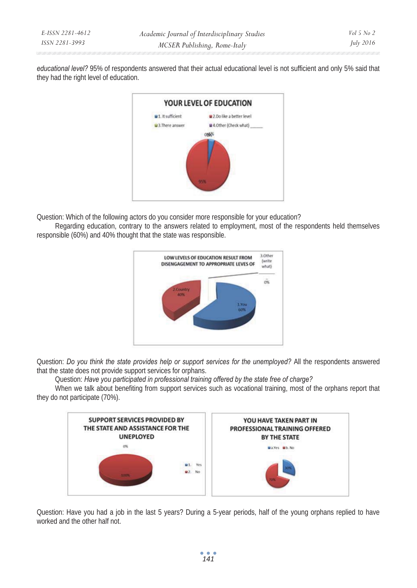| E-ISSN 2281-4612 | Academic Journal of Interdisciplinary Studies | Vol 5 No 2 |
|------------------|-----------------------------------------------|------------|
| ISSN 2281-3993   | MCSER Publishing, Rome-Italy                  | July 2016  |

*educational level?* 95% of respondents answered that their actual educational level is not sufficient and only 5% said that they had the right level of education.



Question: Which of the following actors do you consider more responsible for your education?

Regarding education, contrary to the answers related to employment, most of the respondents held themselves responsible (60%) and 40% thought that the state was responsible.



Question: *Do you think the state provides help or support services for the unemployed?* All the respondents answered that the state does not provide support services for orphans.

Question: *Have you participated in professional training offered by the state free of charge?*

When we talk about benefiting from support services such as vocational training, most of the orphans report that they do not participate (70%).



Question: Have you had a job in the last 5 years? During a 5-year periods, half of the young orphans replied to have worked and the other half not.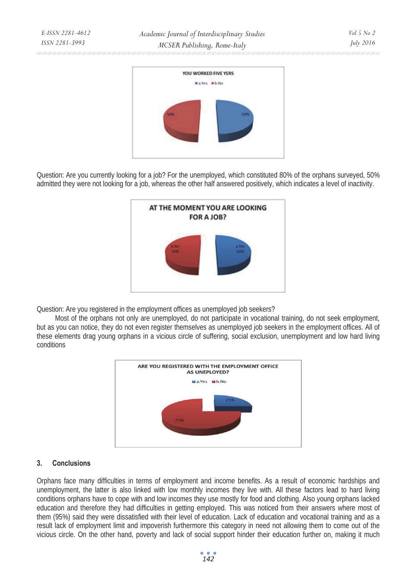

Question: Are you currently looking for a job? For the unemployed, which constituted 80% of the orphans surveyed, 50% admitted they were not looking for a job, whereas the other half answered positively, which indicates a level of inactivity.



Question: Are you registered in the employment offices as unemployed job seekers?

Most of the orphans not only are unemployed, do not participate in vocational training, do not seek employment, but as you can notice, they do not even register themselves as unemployed job seekers in the employment offices. All of these elements drag young orphans in a vicious circle of suffering, social exclusion, unemployment and low hard living conditions



## **3. Conclusions**

*E-ISSN 2281-4612 ISSN 2281-3993* 

Orphans face many difficulties in terms of employment and income benefits. As a result of economic hardships and unemployment, the latter is also linked with low monthly incomes they live with. All these factors lead to hard living conditions orphans have to cope with and low incomes they use mostly for food and clothing. Also young orphans lacked education and therefore they had difficulties in getting employed. This was noticed from their answers where most of them (95%) said they were dissatisfied with their level of education. Lack of education and vocational training and as a result lack of employment limit and impoverish furthermore this category in need not allowing them to come out of the vicious circle. On the other hand, poverty and lack of social support hinder their education further on, making it much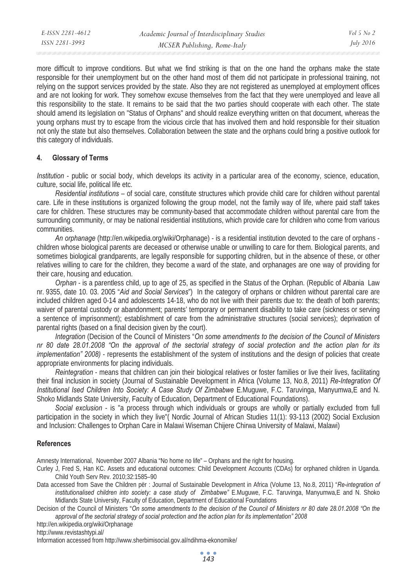| E-ISSN 2281-4612 | Academic Journal of Interdisciplinary Studies | Vol 5 No 2       |
|------------------|-----------------------------------------------|------------------|
| ISSN 2281-3993   | MCSER Publishing, Rome-Italy                  | <i>July 2016</i> |
|                  |                                               |                  |

more difficult to improve conditions. But what we find striking is that on the one hand the orphans make the state responsible for their unemployment but on the other hand most of them did not participate in professional training, not relying on the support services provided by the state. Also they are not registered as unemployed at employment offices and are not looking for work. They somehow excuse themselves from the fact that they were unemployed and leave all this responsibility to the state. It remains to be said that the two parties should cooperate with each other. The state should amend its legislation on "Status of Orphans" and should realize everything written on that document, whereas the young orphans must try to escape from the vicious circle that has involved them and hold responsible for their situation not only the state but also themselves. Collaboration between the state and the orphans could bring a positive outlook for this category of individuals.

#### **4. Glossary of Terms**

*Institution* - public or social body, which develops its activity in a particular area of the economy, science, education, culture, social life, political life etc.

*Residential institutions* – of social care, constitute structures which provide child care for children without parental care. Life in these institutions is organized following the group model, not the family way of life, where paid staff takes care for children. These structures may be community-based that accommodate children without parental care from the surrounding community, or may be national residential institutions, which provide care for children who come from various communities.

*An orphanage* (http://en.wikipedia.org/wiki/Orphanage) - is a residential institution devoted to the care of orphans children whose biological parents are deceased or otherwise unable or unwilling to care for them. Biological parents, and sometimes biological grandparents, are legally responsible for supporting children, but in the absence of these, or other relatives willing to care for the children, they become a ward of the state, and orphanages are one way of providing for their care, housing and education.

*Orphan* - is a parentless child, up to age of 25, as specified in the Status of the Orphan. (Republic of Albania Law nr. 9355, date 10. 03. 2005 "*Aid and Social Services*") In the category of orphans or children without parental care are included children aged 0-14 and adolescents 14-18, who do not live with their parents due to: the death of both parents; waiver of parental custody or abandonment; parents' temporary or permanent disability to take care (sickness or serving a sentence of imprisonment); establishment of care from the administrative structures (social services); deprivation of parental rights (based on a final decision given by the court).

*Integration* (Decision of the Council of Ministers "*On some amendments to the decision of the Council of Ministers nr 80 date 28.01.2008 "On the approval of the sectorial strategy of social protection and the action plan for its implementation" 2008)* - represents the establishment of the system of institutions and the design of policies that create appropriate environments for placing individuals.

*Reintegration* - means that children can join their biological relatives or foster families or live their lives, facilitating their final inclusion in society (Journal of Sustainable Development in Africa (Volume 13, No.8, 2011) *Re-Integration Of Institutional Ised Children Into Society: A Case Study Of Zimbabwe* E.Muguwe, F.C. Taruvinga, Manyumwa,E and N. Shoko Midlands State University, Faculty of Education, Department of Educational Foundations).

*Social exclusion* - is "a process through which individuals or groups are wholly or partially excluded from full participation in the society in which they live"( Nordic Journal of African Studies 11(1): 93-113 (2002) Social Exclusion and Inclusion: Challenges to Orphan Care in Malawi Wiseman Chijere Chirwa University of Malawi, Malawi)

#### **References**

Amnesty International, November 2007 Albania "No home no life" – Orphans and the right for housing.

- Curley J, Fred S, Han KC. Assets and educational outcomes: Child Development Accounts (CDAs) for orphaned children in Uganda. Child Youth Serv Rev. 2010;32:1585–90
- Data accessed from Save the Children për : Journal of Sustainable Development in Africa (Volume 13, No.8, 2011) "*Re-integration of institutionalised children into society: a case study of Zimbabwe"* E.Muguwe, F.C. Taruvinga, Manyumwa,E and N. Shoko Midlands State University, Faculty of Education, Department of Educational Foundations

Decision of the Council of Ministers "*On some amendments to the decision of the Council of Ministers nr 80 date 28.01.2008 "On the approval of the sectorial strategy of social protection and the action plan for its implementation" 2008* 

http://en.wikipedia.org/wiki/Orphanage

http://www.revistashtypi.al/

Information accessed from http://www.sherbimisocial.gov.al/ndihma-ekonomike/